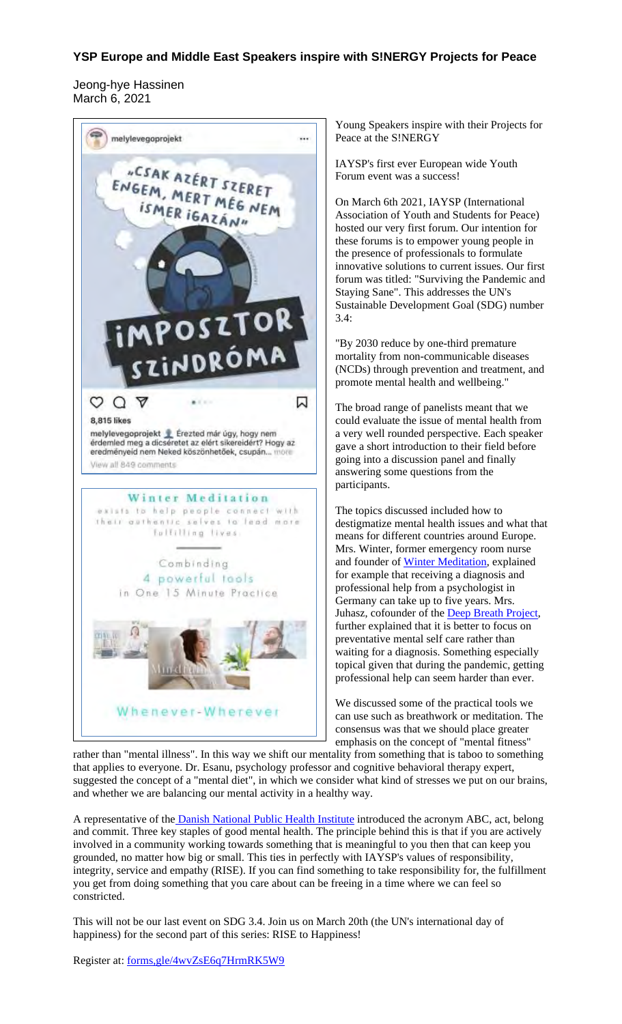## **YSP Europe and Middle East Speakers inspire with S!NERGY Projects for Peace**

Jeong-hye Hassinen March 6, 2021



Young Speakers inspire with their Projects for Peace at the S!NERGY

IAYSP's first ever European wide Youth Forum event was a success!

On March 6th 2021, IAYSP (International Association of Youth and Students for Peace) hosted our very first forum. Our intention for these forums is to empower young people in the presence of professionals to formulate innovative solutions to current issues. Our first forum was titled: "Surviving the Pandemic and Staying Sane". This addresses the UN's Sustainable Development Goal (SDG) number 3.4:

"By 2030 reduce by one-third premature mortality from non-communicable diseases (NCDs) through prevention and treatment, and promote mental health and wellbeing."

The broad range of panelists meant that we could evaluate the issue of mental health from a very well rounded perspective. Each speaker gave a short introduction to their field before going into a discussion panel and finally answering some questions from the participants.

The topics discussed included how to destigmatize mental health issues and what that means for different countries around Europe. Mrs. Winter, former emergency room nurse and founder of Winter Meditation, explained for example that receiving a diagnosis and professional help from a psychologist in Germany can take up to five years. Mrs. Juhasz, cofounder of the Deep Breath Project, further explained that it is better to focus on preventative mental self care rather than waiting for a diagnosis. Something especially topical given that during the pandemic, getting professional help can seem harder than ever.

We discussed some of the practical tools we can use such as breathwork or meditation. The consensus was that we should place greater emphasis on the concept of "mental fitness"

rather than "mental illness". In this way we shift our mentality from something that is taboo to something that applies to everyone. Dr. Esanu, psychology professor and cognitive behavioral therapy expert, suggested the concept of a "mental diet", in which we consider what kind of stresses we put on our brains, and whether we are balancing our mental activity in a healthy way.

A representative of the Danish National Public Health Institute introduced the acronym ABC, act, belong and commit. Three key staples of good mental health. The principle behind this is that if you are actively involved in a community working towards something that is meaningful to you then that can keep you grounded, no matter how big or small. This ties in perfectly with IAYSP's values of responsibility, integrity, service and empathy (RISE). If you can find something to take responsibility for, the fulfillment you get from doing something that you care about can be freeing in a time where we can feel so constricted.

This will not be our last event on SDG 3.4. Join us on March 20th (the UN's international day of happiness) for the second part of this series: RISE to Happiness!

Register at: forms,gle/4wvZsE6q7HrmRK5W9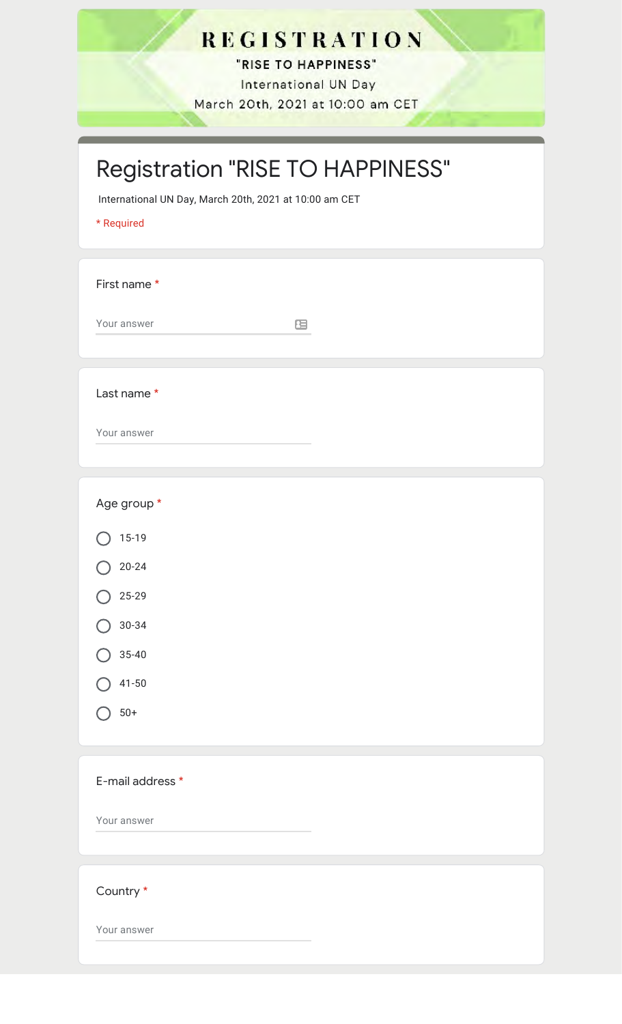## **REGISTRATION**

"RISE TO HAPPINESS" International UN Day March 20th, 2021 at 10:00 am CET

## Registration "RISE TO HAPPINESS"

International UN Day, March 20th, 2021 at 10:00 am CET

\* Required

First name \*

Your answer

 $\equiv$ 

Last name \*

Your answer

| Age group *      |
|------------------|
| $15 - 19$        |
| $20 - 24$        |
| $25 - 29$        |
| $30 - 34$        |
| $35 - 40$        |
| $41 - 50$        |
| $50+$            |
|                  |
| E-mail address * |
| Your answer      |
|                  |
| Country *        |
| Your answer      |